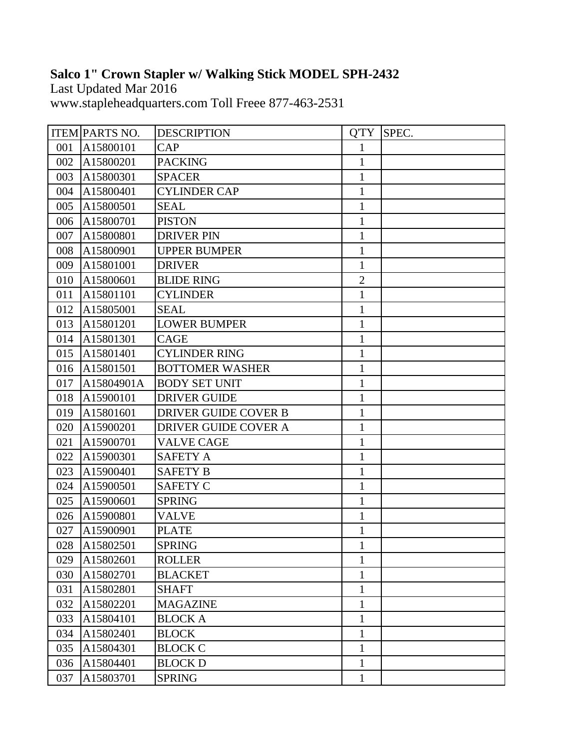## **Salco 1" Crown Stapler w/ Walking Stick MODEL SPH-2432**

Last Updated Mar 2016 www.stapleheadquarters.com Toll Freee 877-463-2531

|     | <b>ITEM PARTS NO.</b> | <b>DESCRIPTION</b>          | Q'TY           | SPEC. |
|-----|-----------------------|-----------------------------|----------------|-------|
| 001 | A15800101             | CAP                         | $\mathbf{1}$   |       |
| 002 | A15800201             | <b>PACKING</b>              | $\mathbf{1}$   |       |
| 003 | A15800301             | <b>SPACER</b>               | 1              |       |
| 004 | A15800401             | <b>CYLINDER CAP</b>         | $\mathbf{1}$   |       |
| 005 | A15800501             | <b>SEAL</b>                 | $\mathbf{1}$   |       |
| 006 | A15800701             | <b>PISTON</b>               | $\mathbf{1}$   |       |
| 007 | A15800801             | <b>DRIVER PIN</b>           | $\mathbf{1}$   |       |
| 008 | A15800901             | <b>UPPER BUMPER</b>         | $\mathbf{1}$   |       |
| 009 | A15801001             | <b>DRIVER</b>               | $\mathbf{1}$   |       |
| 010 | A15800601             | <b>BLIDE RING</b>           | $\overline{2}$ |       |
| 011 | A15801101             | <b>CYLINDER</b>             | $\mathbf{1}$   |       |
| 012 | A15805001             | <b>SEAL</b>                 | $\mathbf{1}$   |       |
| 013 | A15801201             | <b>LOWER BUMPER</b>         | $\mathbf{1}$   |       |
| 014 | A15801301             | CAGE                        | $\mathbf{1}$   |       |
| 015 | A15801401             | <b>CYLINDER RING</b>        | $\mathbf{1}$   |       |
| 016 | A15801501             | <b>BOTTOMER WASHER</b>      | $\mathbf{1}$   |       |
| 017 | A15804901A            | <b>BODY SET UNIT</b>        | $\mathbf{1}$   |       |
| 018 | A15900101             | <b>DRIVER GUIDE</b>         | $\mathbf{1}$   |       |
| 019 | A15801601             | <b>DRIVER GUIDE COVER B</b> | $\mathbf{1}$   |       |
| 020 | A15900201             | DRIVER GUIDE COVER A        | $\mathbf{1}$   |       |
| 021 | A15900701             | <b>VALVE CAGE</b>           | $\mathbf{1}$   |       |
| 022 | A15900301             | <b>SAFETY A</b>             | $\mathbf{1}$   |       |
| 023 | A15900401             | <b>SAFETY B</b>             | $\mathbf{1}$   |       |
| 024 | A15900501             | <b>SAFETY C</b>             | $\mathbf{1}$   |       |
| 025 | A15900601             | <b>SPRING</b>               | 1              |       |
| 026 | A15900801             | <b>VALVE</b>                | $\mathbf{1}$   |       |
| 027 | A15900901             | <b>PLATE</b>                | $\mathbf{1}$   |       |
| 028 | A15802501             | <b>SPRING</b>               | 1              |       |
| 029 | A15802601             | <b>ROLLER</b>               | $\mathbf{1}$   |       |
| 030 | A15802701             | <b>BLACKET</b>              | 1              |       |
| 031 | A15802801             | SHAFT                       | $\mathbf{1}$   |       |
| 032 | A15802201             | <b>MAGAZINE</b>             | $\mathbf{1}$   |       |
| 033 | A15804101             | <b>BLOCK A</b>              | $\mathbf{1}$   |       |
| 034 | A15802401             | <b>BLOCK</b>                | $\mathbf{1}$   |       |
| 035 | A15804301             | <b>BLOCK C</b>              | $\mathbf{1}$   |       |
| 036 | A15804401             | <b>BLOCK D</b>              | $\mathbf{1}$   |       |
| 037 | A15803701             | <b>SPRING</b>               | $\mathbf{1}$   |       |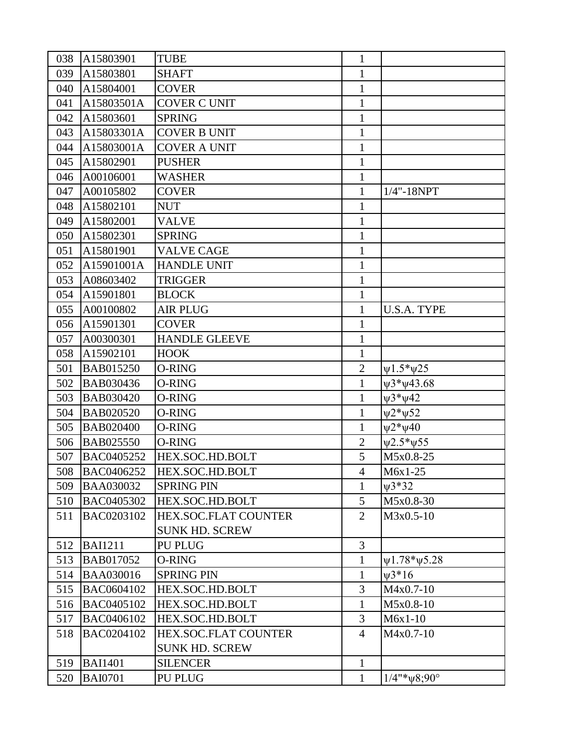| 038 | A15803901        | <b>TUBE</b>                 | $\mathbf{1}$   |                          |
|-----|------------------|-----------------------------|----------------|--------------------------|
| 039 | A15803801        | <b>SHAFT</b>                | $\mathbf{1}$   |                          |
| 040 | A15804001        | <b>COVER</b>                | $\mathbf{1}$   |                          |
| 041 | A15803501A       | <b>COVER C UNIT</b>         | 1              |                          |
| 042 | A15803601        | <b>SPRING</b>               | $\mathbf{1}$   |                          |
| 043 | A15803301A       | <b>COVER B UNIT</b>         | $\mathbf{1}$   |                          |
| 044 | A15803001A       | <b>COVER A UNIT</b>         | $\mathbf{1}$   |                          |
| 045 | A15802901        | <b>PUSHER</b>               | $\mathbf{1}$   |                          |
| 046 | A00106001        | WASHER                      | $\mathbf{1}$   |                          |
| 047 | A00105802        | <b>COVER</b>                | $\mathbf{1}$   | $1/4$ "- $18NPT$         |
| 048 | A15802101        | <b>NUT</b>                  | 1              |                          |
| 049 | A15802001        | <b>VALVE</b>                | $\mathbf{1}$   |                          |
| 050 | A15802301        | <b>SPRING</b>               | $\mathbf{1}$   |                          |
| 051 | A15801901        | <b>VALVE CAGE</b>           | 1              |                          |
| 052 | A15901001A       | <b>HANDLE UNIT</b>          | $\mathbf{1}$   |                          |
| 053 | A08603402        | <b>TRIGGER</b>              | $\mathbf{1}$   |                          |
| 054 | A15901801        | <b>BLOCK</b>                | $\mathbf{1}$   |                          |
| 055 | A00100802        | <b>AIR PLUG</b>             | $\mathbf{1}$   | <b>U.S.A. TYPE</b>       |
| 056 | A15901301        | <b>COVER</b>                | $\mathbf{1}$   |                          |
| 057 | A00300301        | <b>HANDLE GLEEVE</b>        | $\mathbf{1}$   |                          |
| 058 | A15902101        | <b>HOOK</b>                 | 1              |                          |
| 501 | BAB015250        | O-RING                      | $\overline{2}$ | $\Psi$ 1.5* $\Psi$ 25    |
| 502 | BAB030436        | O-RING                      | $\mathbf{1}$   | $\psi$ 3* $\psi$ 43.68   |
| 503 | BAB030420        | <b>O-RING</b>               | $\mathbf{1}$   | $\psi$ 3* $\psi$ 42      |
| 504 | <b>BAB020520</b> | O-RING                      | $\mathbf{1}$   | $\Psi^2*\psi^52$         |
| 505 | <b>BAB020400</b> | O-RING                      | $\mathbf{1}$   | $\Psi^2*\Psi^40$         |
| 506 | <b>BAB025550</b> | <b>O-RING</b>               | $\overline{2}$ | $\Psi$ 2.5* $\Psi$ 55    |
| 507 | BAC0405252       | HEX.SOC.HD.BOLT             | 5              | M5x0.8-25                |
| 508 | BAC0406252       | HEX.SOC.HD.BOLT             | $\overline{4}$ | $M6x1-25$                |
| 509 | <b>BAA030032</b> | <b>SPRING PIN</b>           | $\mathbf{1}$   | $\psi$ 3*32              |
| 510 | BAC0405302       | HEX.SOC.HD.BOLT             | 5              | M5x0.8-30                |
| 511 | BAC0203102       | <b>HEX.SOC.FLAT COUNTER</b> | $\overline{2}$ | M3x0.5-10                |
|     |                  | <b>SUNK HD. SCREW</b>       |                |                          |
| 512 | <b>BAI1211</b>   | <b>PU PLUG</b>              | 3              |                          |
| 513 | BAB017052        | <b>O-RING</b>               | $\mathbf{1}$   | $\Psi$ 1.78* $\Psi$ 5.28 |
| 514 | <b>BAA030016</b> | <b>SPRING PIN</b>           | $\mathbf{1}$   | $\psi$ 3*16              |
| 515 | BAC0604102       | HEX.SOC.HD.BOLT             | 3              | M4x0.7-10                |
| 516 | BAC0405102       | HEX.SOC.HD.BOLT             | $\mathbf{1}$   | M5x0.8-10                |
| 517 | BAC0406102       | HEX.SOC.HD.BOLT             | 3              | $M6x1-10$                |
| 518 | BAC0204102       | HEX.SOC.FLAT COUNTER        | $\overline{4}$ | M4x0.7-10                |
|     |                  | <b>SUNK HD. SCREW</b>       |                |                          |
| 519 | <b>BAI1401</b>   | <b>SILENCER</b>             | $\mathbf{1}$   |                          |
| 520 | <b>BAI0701</b>   | PU PLUG                     | $\mathbf{1}$   | $1/4$ "* $\nu$ 8;90°     |